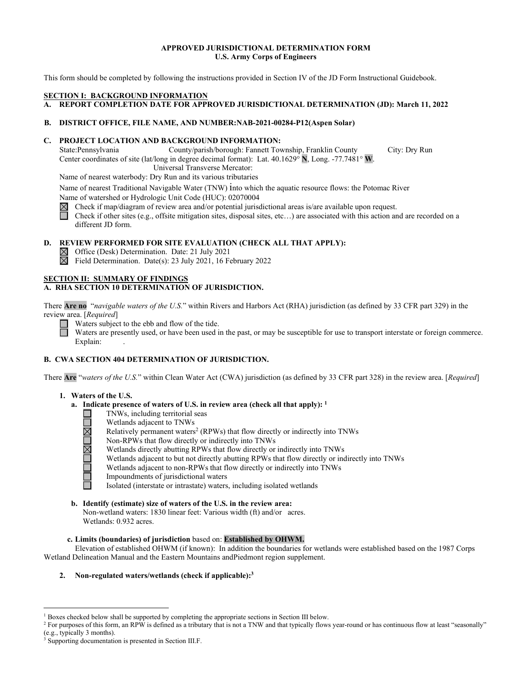### **APPROVED JURISDICTIONAL DETERMINATION FORM U.S. Army Corps of Engineers**

This form should be completed by following the instructions provided in Section IV of the JD Form Instructional Guidebook.

### **SECTION I: BACKGROUND INFORMATION**

# **A. REPORT COMPLETION DATE FOR APPROVED JURISDICTIONAL DETERMINATION (JD): March 11, 2022**

### **B. DISTRICT OFFICE, FILE NAME, AND NUMBER:NAB-2021-00284-P12(Aspen Solar)**

### **C. PROJECT LOCATION AND BACKGROUND INFORMATION:**

State:Pennsylvania County/parish/borough: Fannett Township, Franklin County City: Dry Run Center coordinates of site (lat/long in degree decimal format): Lat. 40.1629° **N**, Long. -77.7481° **W**. Universal Transverse Mercator:

Name of nearest waterbody: Dry Run and its various tributaries

Name of nearest Traditional Navigable Water (TNW) into which the aquatic resource flows: the Potomac River

Name of watershed or Hydrologic Unit Code (HUC): 02070004<br>  $\boxtimes$  Check if map/diagram of review area and/or potential jurise<br>
Check if other sites (e.g., offsite mitigation sites, disposal s Check if map/diagram of review area and/or potential jurisdictional areas is/are available upon request. Check if other sites (e.g., offsite mitigation sites, disposal sites, etc…) are associated with this action and are recorded on a different JD form.

# **D. REVIEW PERFORMED FOR SITE EVALUATION (CHECK ALL THAT APPLY):**

 $\boxtimes$  Office (Desk) Determination. Date: 21 July 2021

岗 Field Determination. Date(s): 23 July 2021, 16 February 2022

### **SECTION II: SUMMARY OF FINDINGS**

# **A. RHA SECTION 10 DETERMINATION OF JURISDICTION.**

There **Are no** "*navigable waters of the U.S.*" within Rivers and Harbors Act (RHA) jurisdiction (as defined by 33 CFR part 329) in the review area. [*Required*]

Waters subject to the ebb and flow of the tide.

Waters are presently used, or have been used in the past, or may be susceptible for use to transport interstate or foreign commerce. Explain:

# **B. CWA SECTION 404 DETERMINATION OF JURISDICTION.**

There **Are** "*waters of the U.S.*" within Clean Water Act (CWA) jurisdiction (as defined by 33 CFR part 328) in the review area. [*Required*]

- **1. Waters of the U.S.**
	- **a. Indicate presence of waters of U.S. in review area (check all that apply): 1**
		- TNWs, including territorial seas
		- Wetlands adjacent to TNWs
		- Relatively permanent waters<sup>2</sup> (RPWs) that flow directly or indirectly into TNWs
		- <u> JNDMDML</u> Non-RPWs that flow directly or indirectly into TNWs
			- Wetlands directly abutting RPWs that flow directly or indirectly into TNWs
			- Wetlands adjacent to but not directly abutting RPWs that flow directly or indirectly into TNWs
			- Wetlands adjacent to non-RPWs that flow directly or indirectly into TNWs
			- Impoundments of jurisdictional waters
			- Isolated (interstate or intrastate) waters, including isolated wetlands

# **b. Identify (estimate) size of waters of the U.S. in the review area:**

Non-wetland waters: 1830 linear feet: Various width (ft) and/or acres. Wetlands: 0.932 acres.

### **c. Limits (boundaries) of jurisdiction** based on: **Established by OHWM.**

Elevation of established OHWM (if known): In addition the boundaries for wetlands were established based on the 1987 Corps Wetland Delineation Manual and the Eastern Mountains andPiedmont region supplement.

### **2. Non-regulated waters/wetlands (check if applicable):3**

<sup>&</sup>lt;sup>1</sup> Boxes checked below shall be supported by completing the appropriate sections in Section III below.

<sup>&</sup>lt;sup>2</sup> For purposes of this form, an RPW is defined as a tributary that is not a TNW and that typically flows year-round or has continuous flow at least "seasonally" (e.g., typically 3 months).<br><sup>3</sup> Supporting documentation is presented in Section III.F.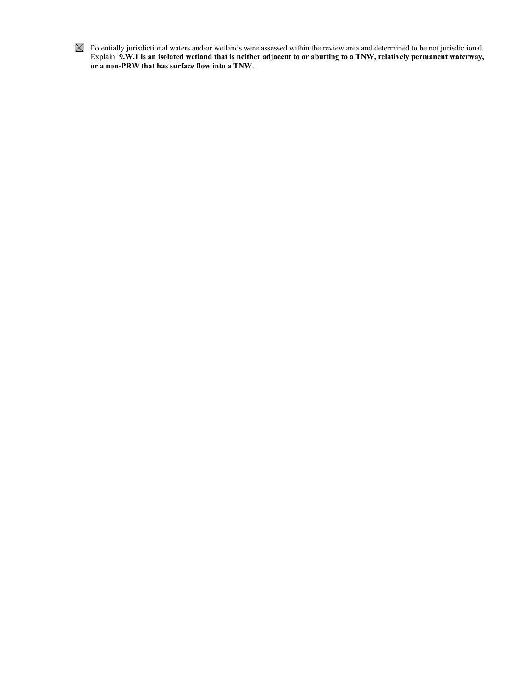Potentially jurisdictional waters and/or wetlands were assessed within the review area and determined to be not jurisdictional. Explain: **9.W.1 is an isolated wetland that is neither adjacent to or abutting to a TNW, relatively permanent waterway, or a non-PRW that has surface flow into a TNW**.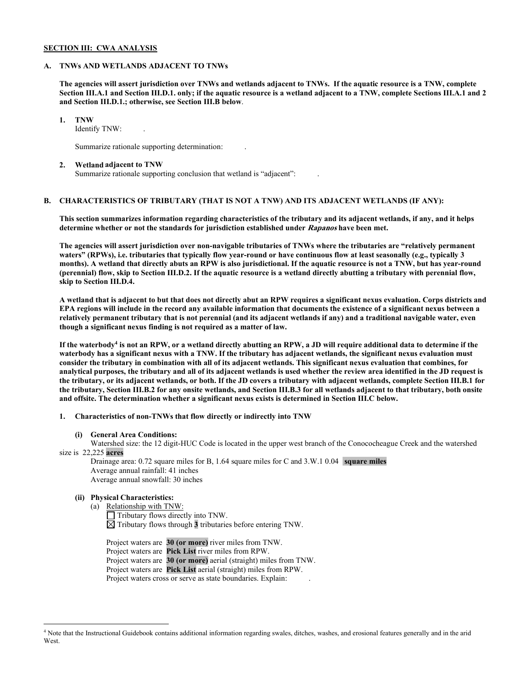### **SECTION III: CWA ANALYSIS**

### **A. TNWs AND WETLANDS ADJACENT TO TNWs**

**The agencies will assert jurisdiction over TNWs and wetlands adjacent to TNWs. If the aquatic resource is a TNW, complete Section III.A.1 and Section III.D.1. only; if the aquatic resource is a wetland adjacent to a TNW, complete Sections III.A.1 and 2 and Section III.D.1.; otherwise, see Section III.B below**.

**1. TNW**

Identify TNW: .

Summarize rationale supporting determination: .

#### **2. Wetland adjacent to TNW**

Summarize rationale supporting conclusion that wetland is "adjacent": .

# **B. CHARACTERISTICS OF TRIBUTARY (THAT IS NOT A TNW) AND ITS ADJACENT WETLANDS (IF ANY):**

**This section summarizes information regarding characteristics of the tributary and its adjacent wetlands, if any, and it helps determine whether or not the standards for jurisdiction established under Rapanos have been met.**

**The agencies will assert jurisdiction over non-navigable tributaries of TNWs where the tributaries are "relatively permanent waters" (RPWs), i.e. tributaries that typically flow year-round or have continuous flow at least seasonally (e.g., typically 3 months). A wetland that directly abuts an RPW is also jurisdictional. If the aquatic resource is not a TNW, but has year-round (perennial) flow, skip to Section III.D.2. If the aquatic resource is a wetland directly abutting a tributary with perennial flow, skip to Section III.D.4.**

**A wetland that is adjacent to but that does not directly abut an RPW requires a significant nexus evaluation. Corps districts and EPA regions will include in the record any available information that documents the existence of a significant nexus between a relatively permanent tributary that is not perennial (and its adjacent wetlands if any) and a traditional navigable water, even though a significant nexus finding is not required as a matter of law.**

**If the waterbody4 is not an RPW, or a wetland directly abutting an RPW, a JD will require additional data to determine if the waterbody has a significant nexus with a TNW. If the tributary has adjacent wetlands, the significant nexus evaluation must consider the tributary in combination with all of its adjacent wetlands. This significant nexus evaluation that combines, for analytical purposes, the tributary and all of its adjacent wetlands is used whether the review area identified in the JD request is the tributary, or its adjacent wetlands, or both. If the JD covers a tributary with adjacent wetlands, complete Section III.B.1 for the tributary, Section III.B.2 for any onsite wetlands, and Section III.B.3 for all wetlands adjacent to that tributary, both onsite and offsite. The determination whether a significant nexus exists is determined in Section III.C below.**

**1. Characteristics of non-TNWs that flow directly or indirectly into TNW**

### **(i) General Area Conditions:**

Watershed size: the 12 digit-HUC Code is located in the upper west branch of the Conococheague Creek and the watershed size is 22,225 **acres**

Drainage area: 0.72 square miles for B, 1.64 square miles for C and 3.W.1 0.04 **square miles** Average annual rainfall: 41 inches Average annual snowfall: 30 inches

# **(ii) Physical Characteristics:**

(a) Relationship with TNW:

Tributary flows directly into TNW.  $\boxtimes$  Tributary flows through  $\overline{3}$  tributaries before entering TNW.

Project waters are **30 (or more)** river miles from TNW. Project waters are **Pick List** river miles from RPW. Project waters are **30 (or more)** aerial (straight) miles from TNW. Project waters are **Pick List** aerial (straight) miles from RPW. Project waters cross or serve as state boundaries. Explain:

<sup>4</sup> Note that the Instructional Guidebook contains additional information regarding swales, ditches, washes, and erosional features generally and in the arid **West**.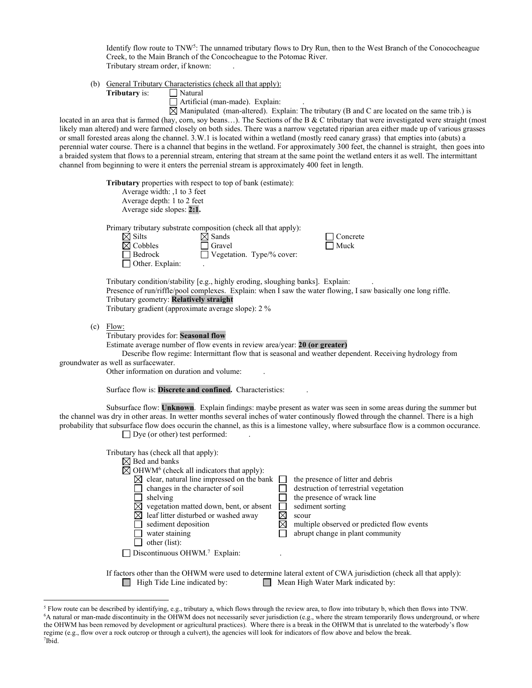Identify flow route to TNW<sup>5</sup>: The unnamed tributary flows to Dry Run, then to the West Branch of the Conococheague Creek, to the Main Branch of the Concocheague to the Potomac River. Tributary stream order, if known: .

(b) General Tributary Characteristics (check all that apply):

**Tributary** is:

□ Natural<br>□ Artificial (man-made). Explain:

 $\boxtimes$  Manipulated (man-altered). Explain: The tributary (B and C are located on the same trib.) is located in an area that is farmed (hay, corn, soy beans…). The Sections of the B & C tributary that were investigated were straight (most likely man altered) and were farmed closely on both sides. There was a narrow vegetated riparian area either made up of various grasses or small forested areas along the channel. 3.W.1 is located within a wetland (mostly reed canary grass) that empties into (abuts) a perennial water course. There is a channel that begins in the wetland. For approximately 300 feet, the channel is straight, then goes into a braided system that flows to a perennial stream, entering that stream at the same point the wetland enters it as well. The intermittant channel from beginning to were it enters the perrenial stream is approximately 400 feet in length.

|                                                                                                                                                                                                                                                                                                                                                                                                                                            | Tributary properties with respect to top of bank (estimate):<br>Average width: ,1 to 3 feet<br>Average depth: 1 to 2 feet<br>Average side slopes: 2:1.                                                                                                                                                                                                                                                                                                                                                                                                                                                                                                                     |  |  |  |  |  |  |  |
|--------------------------------------------------------------------------------------------------------------------------------------------------------------------------------------------------------------------------------------------------------------------------------------------------------------------------------------------------------------------------------------------------------------------------------------------|----------------------------------------------------------------------------------------------------------------------------------------------------------------------------------------------------------------------------------------------------------------------------------------------------------------------------------------------------------------------------------------------------------------------------------------------------------------------------------------------------------------------------------------------------------------------------------------------------------------------------------------------------------------------------|--|--|--|--|--|--|--|
|                                                                                                                                                                                                                                                                                                                                                                                                                                            | Primary tributary substrate composition (check all that apply):<br>$\boxtimes$ Silts<br>$\boxtimes$ Sands<br>Concrete<br>$\boxtimes$ Cobbles<br>Gravel<br>Muck<br>Bedrock<br>Vegetation. Type/% cover:<br>Other. Explain:                                                                                                                                                                                                                                                                                                                                                                                                                                                  |  |  |  |  |  |  |  |
|                                                                                                                                                                                                                                                                                                                                                                                                                                            | Tributary condition/stability [e.g., highly eroding, sloughing banks]. Explain:<br>Presence of run/riffle/pool complexes. Explain: when I saw the water flowing, I saw basically one long riffle.<br>Tributary geometry: Relatively straight<br>Tributary gradient (approximate average slope): 2 %                                                                                                                                                                                                                                                                                                                                                                        |  |  |  |  |  |  |  |
|                                                                                                                                                                                                                                                                                                                                                                                                                                            | $(c)$ Flow:<br>Tributary provides for: Seasonal flow<br>Estimate average number of flow events in review area/year: 20 (or greater)<br>Describe flow regime: Intermittant flow that is seasonal and weather dependent. Receiving hydrology from<br>groundwater as well as surfacewater.<br>Other information on duration and volume:                                                                                                                                                                                                                                                                                                                                       |  |  |  |  |  |  |  |
| Surface flow is: Discrete and confined. Characteristics:                                                                                                                                                                                                                                                                                                                                                                                   |                                                                                                                                                                                                                                                                                                                                                                                                                                                                                                                                                                                                                                                                            |  |  |  |  |  |  |  |
| Subsurface flow: Unknown. Explain findings: maybe present as water was seen in some areas during the summer but<br>the channel was dry in other areas. In wetter months several inches of water continously flowed through the channel. There is a high<br>probability that subsurface flow does occurin the channel, as this is a limestone valley, where subsurface flow is a common occurance.<br>$\Box$ Dye (or other) test performed: |                                                                                                                                                                                                                                                                                                                                                                                                                                                                                                                                                                                                                                                                            |  |  |  |  |  |  |  |
|                                                                                                                                                                                                                                                                                                                                                                                                                                            | Tributary has (check all that apply):<br>$\boxtimes$ Bed and banks<br>$\boxtimes$ OHWM <sup>6</sup> (check all indicators that apply):<br>$\boxtimes$ clear, natural line impressed on the bank<br>the presence of litter and debris<br>destruction of terrestrial vegetation<br>changes in the character of soil<br>shelving<br>the presence of wrack line<br>$\boxtimes$ vegetation matted down, bent, or absent<br>sediment sorting<br>$\boxtimes$<br>$\boxtimes$ leaf litter disturbed or washed away<br>scour<br>⊠<br>multiple observed or predicted flow events<br>sediment deposition<br>water staining<br>abrupt change in plant community<br>$\Box$ other (list): |  |  |  |  |  |  |  |
|                                                                                                                                                                                                                                                                                                                                                                                                                                            | Discontinuous OHWM.7 Explain:                                                                                                                                                                                                                                                                                                                                                                                                                                                                                                                                                                                                                                              |  |  |  |  |  |  |  |
|                                                                                                                                                                                                                                                                                                                                                                                                                                            | If factors other than the OHWM were used to determine lateral extent of CWA jurisdiction (check all that apply):<br>High Tide Line indicated by:<br>$\Box$ Mean High Water Mark indicated by:                                                                                                                                                                                                                                                                                                                                                                                                                                                                              |  |  |  |  |  |  |  |

<sup>5</sup> Flow route can be described by identifying, e.g., tributary a, which flows through the review area, to flow into tributary b, which then flows into TNW. 6 A natural or man-made discontinuity in the OHWM does not necessarily sever jurisdiction (e.g., where the stream temporarily flows underground, or where the OHWM has been removed by development or agricultural practices). Where there is a break in the OHWM that is unrelated to the waterbody's flow regime (e.g., flow over a rock outcrop or through a culvert), the agencies will look for indicators of flow above and below the break. 7 Ibid.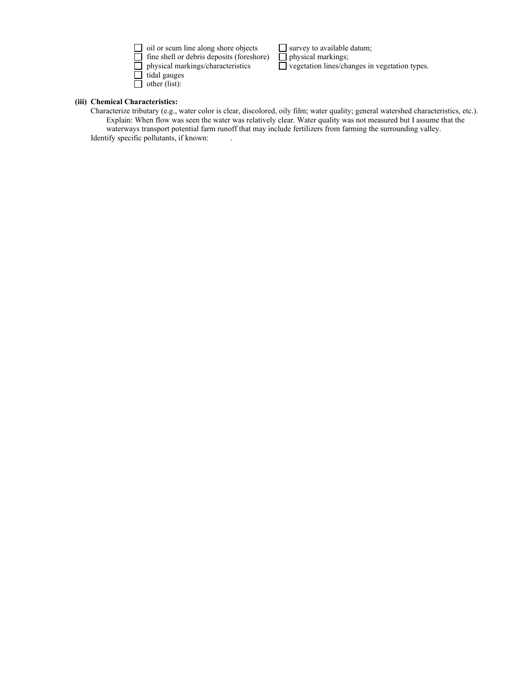| $\Box$ oil or scum line along shore objects      |
|--------------------------------------------------|
| $\Box$ fine shell or debris deposits (foreshore) |
| $\Box$ physical markings/characteristics         |
| $\Box$ tidal gauges                              |
| $\Box$ other (list):                             |

 $\Box$  survey to available datum;<br> $\Box$  physical markings;<br> $\Box$  vegetation lines/changes in vegetation types.

# **(iii) Chemical Characteristics:**

Characterize tributary (e.g., water color is clear, discolored, oily film; water quality; general watershed characteristics, etc.). Explain: When flow was seen the water was relatively clear. Water quality was not measured but I assume that the waterways transport potential farm runoff that may include fertilizers from farming the surrounding valley. Identify specific pollutants, if known: .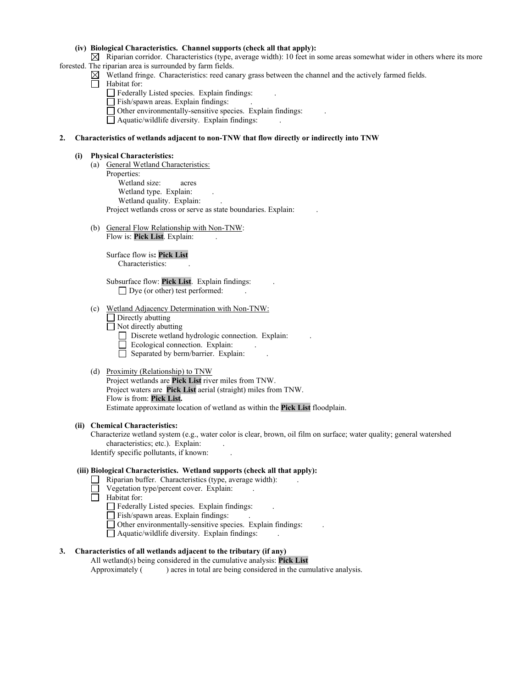## **(iv) Biological Characteristics. Channel supports (check all that apply):**

 $\boxtimes$  Riparian corridor. Characteristics (type, average width): 10 feet in some areas somewhat wider in others where its more forested. The riparian area is surrounded by farm fields.

- $\boxtimes$  Wetland fringe. Characteristics: reed canary grass between the channel and the actively farmed fields.
- $\Box$  Habitat for:
	- Federally Listed species. Explain findings: .
	- Fish/spawn areas. Explain findings:
	- Other environmentally-sensitive species. Explain findings: .
	- Aquatic/wildlife diversity. Explain findings: .

### **2. Characteristics of wetlands adjacent to non-TNW that flow directly or indirectly into TNW**

#### **(i) Physical Characteristics:**

- (a) General Wetland Characteristics: Properties: Wetland size: acres Wetland type. Explain: Wetland quality. Explain: Project wetlands cross or serve as state boundaries. Explain: .
- (b) General Flow Relationship with Non-TNW: Flow is: Pick List. Explain:

Surface flow is**: Pick List**  Characteristics: .

Subsurface flow: **Pick List**. Explain findings: .  $\Box$  Dye (or other) test performed:

- (c) Wetland Adjacency Determination with Non-TNW:
	- $\Box$  Directly abutting
	- $\Box$  Not directly abutting
		- Discrete wetland hydrologic connection. Explain:
	- $\Box$  Ecological connection. Explain:
		- $\Box$  Separated by berm/barrier. Explain:
- (d) Proximity (Relationship) to TNW

Project wetlands are **Pick List** river miles from TNW. Project waters are **Pick List** aerial (straight) miles from TNW. Flow is from: **Pick List.** Estimate approximate location of wetland as within the **Pick List** floodplain.

#### **(ii) Chemical Characteristics:**

Characterize wetland system (e.g., water color is clear, brown, oil film on surface; water quality; general watershed characteristics; etc.). Explain:

Identify specific pollutants, if known: .

## **(iii) Biological Characteristics. Wetland supports (check all that apply):**

- $\Box$  Riparian buffer. Characteristics (type, average width):
- $\Box$  Vegetation type/percent cover. Explain:
- Habitat for:
	- Federally Listed species. Explain findings:
	- Fish/spawn areas. Explain findings:
	- Other environmentally-sensitive species. Explain findings: .
	- $\Box$  Aquatic/wildlife diversity. Explain findings:

# **3. Characteristics of all wetlands adjacent to the tributary (if any)**

All wetland(s) being considered in the cumulative analysis: **Pick List**<br>Approximately () acres in total are being considered in the cun ) acres in total are being considered in the cumulative analysis.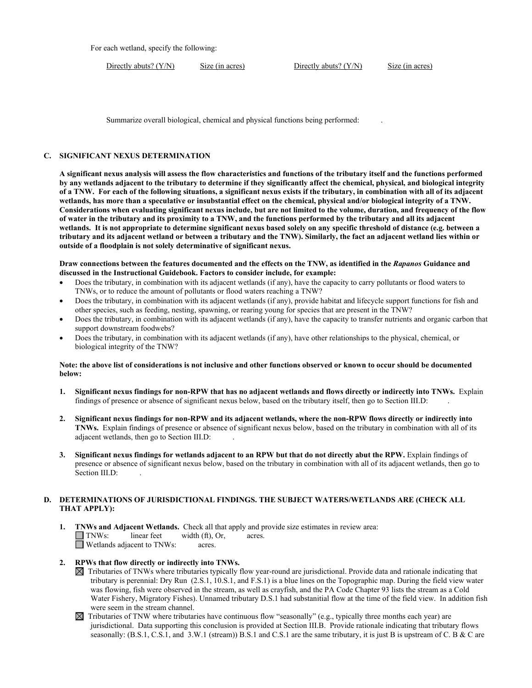For each wetland, specify the following:

Directly abuts? (Y/N) Size (in acres) Directly abuts? (Y/N) Size (in acres)

Summarize overall biological, chemical and physical functions being performed: .

### **C. SIGNIFICANT NEXUS DETERMINATION**

**A significant nexus analysis will assess the flow characteristics and functions of the tributary itself and the functions performed by any wetlands adjacent to the tributary to determine if they significantly affect the chemical, physical, and biological integrity of a TNW. For each of the following situations, a significant nexus exists if the tributary, in combination with all of its adjacent wetlands, has more than a speculative or insubstantial effect on the chemical, physical and/or biological integrity of a TNW. Considerations when evaluating significant nexus include, but are not limited to the volume, duration, and frequency of the flow of water in the tributary and its proximity to a TNW, and the functions performed by the tributary and all its adjacent wetlands. It is not appropriate to determine significant nexus based solely on any specific threshold of distance (e.g. between a tributary and its adjacent wetland or between a tributary and the TNW). Similarly, the fact an adjacent wetland lies within or outside of a floodplain is not solely determinative of significant nexus.**

**Draw connections between the features documented and the effects on the TNW, as identified in the** *Rapanos* **Guidance and discussed in the Instructional Guidebook. Factors to consider include, for example:**

- Does the tributary, in combination with its adjacent wetlands (if any), have the capacity to carry pollutants or flood waters to TNWs, or to reduce the amount of pollutants or flood waters reaching a TNW?
- Does the tributary, in combination with its adjacent wetlands (if any), provide habitat and lifecycle support functions for fish and other species, such as feeding, nesting, spawning, or rearing young for species that are present in the TNW?
- Does the tributary, in combination with its adjacent wetlands (if any), have the capacity to transfer nutrients and organic carbon that support downstream foodwebs?
- Does the tributary, in combination with its adjacent wetlands (if any), have other relationships to the physical, chemical, or biological integrity of the TNW?

### **Note: the above list of considerations is not inclusive and other functions observed or known to occur should be documented below:**

- **1. Significant nexus findings for non-RPW that has no adjacent wetlands and flows directly or indirectly into TNWs.** Explain findings of presence or absence of significant nexus below, based on the tributary itself, then go to Section III.D: .
- **2. Significant nexus findings for non-RPW and its adjacent wetlands, where the non-RPW flows directly or indirectly into TNWs.** Explain findings of presence or absence of significant nexus below, based on the tributary in combination with all of its adjacent wetlands, then go to Section III.D: .
- **3. Significant nexus findings for wetlands adjacent to an RPW but that do not directly abut the RPW.** Explain findings of presence or absence of significant nexus below, based on the tributary in combination with all of its adjacent wetlands, then go to Section III.D:

# **D. DETERMINATIONS OF JURISDICTIONAL FINDINGS. THE SUBJECT WATERS/WETLANDS ARE (CHECK ALL THAT APPLY):**

**1. INWs and Adjacent Wetlands.** Check all that apply and provide size estimates in review area:<br> **INWs:** linear feet width (ft), Or, acres.  $width (ft), Or, \narepsilon.$ Wetlands adjacent to TNWs: acres.

# **2. RPWs that flow directly or indirectly into TNWs.**

- $\boxtimes$  Tributaries of TNWs where tributaries typically flow year-round are jurisdictional. Provide data and rationale indicating that tributary is perennial: Dry Run (2.S.1, 10.S.1, and F.S.1) is a blue lines on the Topographic map. During the field view water was flowing, fish were observed in the stream, as well as crayfish, and the PA Code Chapter 93 lists the stream as a Cold Water Fishery, Migratory Fishes). Unnamed tributary D.S.1 had substanitial flow at the time of the field view. In addition fish were seem in the stream channel.
- $\boxtimes$  Tributaries of TNW where tributaries have continuous flow "seasonally" (e.g., typically three months each year) are jurisdictional. Data supporting this conclusion is provided at Section III.B. Provide rationale indicating that tributary flows seasonally: (B.S.1, C.S.1, and 3.W.1 (stream)) B.S.1 and C.S.1 are the same tributary, it is just B is upstream of C. B & C are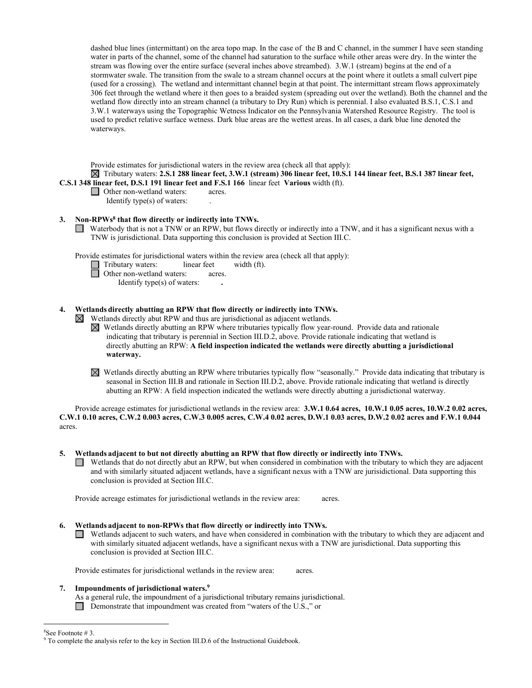dashed blue lines (intermittant) on the area topo map. In the case of the B and C channel, in the summer I have seen standing water in parts of the channel, some of the channel had saturation to the surface while other areas were dry. In the winter the stream was flowing over the entire surface (several inches above streambed). 3.W.1 (stream) begins at the end of a stormwater swale. The transition from the swale to a stream channel occurs at the point where it outlets a small culvert pipe (used for a crossing). The wetland and intermittant channel begin at that point. The intermittant stream flows approximately 306 feet through the wetland where it then goes to a braided system (spreading out over the wetland). Both the channel and the wetland flow directly into an stream channel (a tributary to Dry Run) which is perennial. I also evaluated B.S.1, C.S.1 and 3.W.1 waterways using the Topographic Wetness Indicator on the Pennsylvania Watershed Resource Registry. The tool is used to predict relative surface wetness. Dark blue areas are the wettest areas. In all cases, a dark blue line denoted the waterways.

Provide estimates for jurisdictional waters in the review area (check all that apply):

 Tributary waters: **2.S.1 288 linear feet, 3.W.1 (stream) 306 linear feet, 10.S.1 144 linear feet, B.S.1 387 linear feet, C.S.1 348 linear feet, D.S.1 191 linear feet and F.S.1 166** linear feet **Various** width (ft).

 $\Box$  Other non-wetland waters: acres.

Identify type(s) of waters: .

# **3. Non-RPWs8 that flow directly or indirectly into TNWs.**

Waterbody that is not a TNW or an RPW, but flows directly or indirectly into a TNW, and it has a significant nexus with a TNW is jurisdictional. Data supporting this conclusion is provided at Section III.C.

Provide estimates for jurisdictional waters within the review area (check all that apply):

- Tributary waters:linear feetwidth (ft).
- **D** Other non-wetland waters: acres.

Identify type(s) of waters: **.** 

# **4. Wetlands directly abutting an RPW that flow directly or indirectly into TNWs.**

 $\boxtimes$  Wetlands directly abut RPW and thus are jurisdictional as adjacent wetlands.

- $\boxtimes$  Wetlands directly abutting an RPW where tributaries typically flow year-round. Provide data and rationale indicating that tributary is perennial in Section III.D.2, above. Provide rationale indicating that wetland is directly abutting an RPW: **A field inspection indicated the wetlands were directly abutting a jurisdictional waterway.**
- Wetlands directly abutting an RPW where tributaries typically flow "seasonally." Provide data indicating that tributary is seasonal in Section III.B and rationale in Section III.D.2, above. Provide rationale indicating that wetland is directly abutting an RPW: A field inspection indicated the wetlands were directly abutting a jurisdictional waterway.

Provide acreage estimates for jurisdictional wetlands in the review area: **3.W.1 0.64 acres, 10.W.1 0.05 acres, 10.W.2 0.02 acres, C.W.1 0.10 acres, C.W.2 0.003 acres, C.W.3 0.005 acres, C.W.4 0.02 acres, D.W.1 0.03 acres, D.W.2 0.02 acres and F.W.1 0.044** acres.

### **5. Wetlands adjacent to but not directly abutting an RPW that flow directly or indirectly into TNWs.**

Wetlands that do not directly abut an RPW, but when considered in combination with the tributary to which they are adjacent and with similarly situated adjacent wetlands, have a significant nexus with a TNW are jurisidictional. Data supporting this conclusion is provided at Section III.C.

Provide acreage estimates for jurisdictional wetlands in the review area: acres.

# **6. Wetlands adjacent to non-RPWs that flow directly or indirectly into TNWs.**

 $\Box$  Wetlands adjacent to such waters, and have when considered in combination with the tributary to which they are adjacent and with similarly situated adjacent wetlands, have a significant nexus with a TNW are jurisdictional. Data supporting this conclusion is provided at Section III.C.

Provide estimates for jurisdictional wetlands in the review area: acres.

# **7. Impoundments of jurisdictional waters. 9**

As a general rule, the impoundment of a jurisdictional tributary remains jurisdictional.

Demonstrate that impoundment was created from "waters of the U.S.," or

<sup>&</sup>lt;sup>8</sup>See Footnote #3.

 $9$  To complete the analysis refer to the key in Section III.D.6 of the Instructional Guidebook.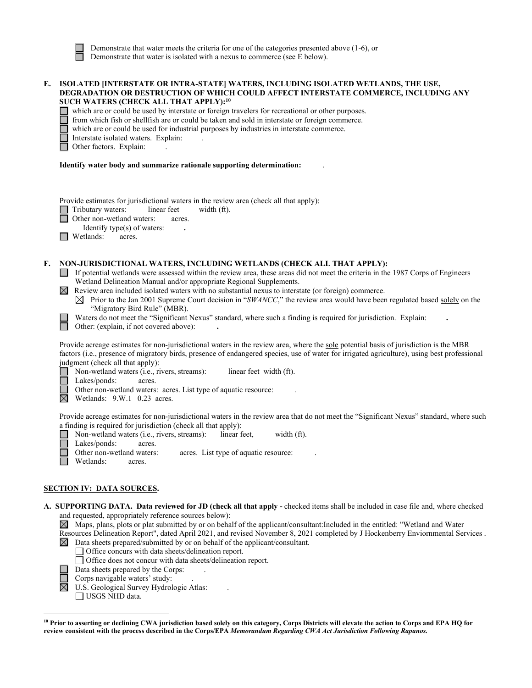Demonstrate that water meets the criteria for one of the categories presented above (1-6), or Demonstrate that water is isolated with a nexus to commerce (see E below).

| E. | ISOLATED [INTERSTATE OR INTRA-STATE] WATERS, INCLUDING ISOLATED WETLANDS, THE USE,<br>DEGRADATION OR DESTRUCTION OF WHICH COULD AFFECT INTERSTATE COMMERCE, INCLUDING ANY<br>SUCH WATERS (CHECK ALL THAT APPLY): <sup>10</sup><br>which are or could be used by interstate or foreign travelers for recreational or other purposes.<br>from which fish or shellfish are or could be taken and sold in interstate or foreign commerce.<br>which are or could be used for industrial purposes by industries in interstate commerce.<br>Interstate isolated waters. Explain:<br>Other factors. Explain:                                                                                                                                      |  |  |  |  |  |
|----|-------------------------------------------------------------------------------------------------------------------------------------------------------------------------------------------------------------------------------------------------------------------------------------------------------------------------------------------------------------------------------------------------------------------------------------------------------------------------------------------------------------------------------------------------------------------------------------------------------------------------------------------------------------------------------------------------------------------------------------------|--|--|--|--|--|
|    | Identify water body and summarize rationale supporting determination:                                                                                                                                                                                                                                                                                                                                                                                                                                                                                                                                                                                                                                                                     |  |  |  |  |  |
|    | Provide estimates for jurisdictional waters in the review area (check all that apply):<br>Tributary waters:<br>linear feet<br>width (ft).<br>Other non-wetland waters:<br>acres.<br>Identify type(s) of waters:<br>Wetlands:<br>acres.                                                                                                                                                                                                                                                                                                                                                                                                                                                                                                    |  |  |  |  |  |
| F. | NON-JURISDICTIONAL WATERS, INCLUDING WETLANDS (CHECK ALL THAT APPLY):<br>If potential wetlands were assessed within the review area, these areas did not meet the criteria in the 1987 Corps of Engineers<br>Wetland Delineation Manual and/or appropriate Regional Supplements.<br>$\boxtimes$ Review area included isolated waters with no substantial nexus to interstate (or foreign) commerce.<br>$\boxtimes$ Prior to the Jan 2001 Supreme Court decision in "SWANCC," the review area would have been regulated based solely on the<br>"Migratory Bird Rule" (MBR).<br>Waters do not meet the "Significant Nexus" standard, where such a finding is required for jurisdiction. Explain:<br>Other: (explain, if not covered above): |  |  |  |  |  |
|    | Provide acreage estimates for non-jurisdictional waters in the review area, where the sole potential basis of jurisdiction is the MBR<br>factors (i.e., presence of migratory birds, presence of endangered species, use of water for irrigated agriculture), using best professional<br>judgment (check all that apply):<br>Non-wetland waters (i.e., rivers, streams):<br>linear feet width (ft).<br>Lakes/ponds:<br>acres.<br>Other non-wetland waters: acres. List type of aquatic resource:<br>⊠<br>Wetlands: 9.W.1 0.23 acres.                                                                                                                                                                                                      |  |  |  |  |  |
|    | Provide acreage estimates for non-jurisdictional waters in the review area that do not meet the "Significant Nexus" standard, where such<br>a finding is required for jurisdiction (check all that apply):<br>Non-wetland waters (i.e., rivers, streams):<br>linear feet,<br>width (ft).<br>Lakes/ponds:<br>acres.<br>Other non-wetland waters:<br>acres. List type of aquatic resource:<br>Wetlands:<br>acres.                                                                                                                                                                                                                                                                                                                           |  |  |  |  |  |
|    | <b>SECTION IV: DATA SOURCES.</b>                                                                                                                                                                                                                                                                                                                                                                                                                                                                                                                                                                                                                                                                                                          |  |  |  |  |  |
|    | A. SUPPORTING DATA. Data reviewed for JD (check all that apply - checked items shall be included in case file and, where checked<br>and requested, appropriately reference sources below):<br>$\boxtimes$ Maps, plans, plots or plat submitted by or on behalf of the applicant/consultant: Included in the entitled: "Wetland and Water<br>Resources Delineation Report", dated April 2021, and revised November 8, 2021 completed by J Hockenberry Enviornmental Services.<br>Data sheets prepared/submitted by or on behalf of the applicant/consultant.<br>Office concurs with data sheets/delineation report.                                                                                                                        |  |  |  |  |  |

- Office does not concur with data sheets/delineation report.
- Data sheets prepared by the Corps: .
- Corps navigable waters' study: .
- U.S. Geological Survey Hydrologic Atlas: .
- $\boxed{\square}{\square}$ USGS NHD data.

<sup>&</sup>lt;sup>10</sup> Prior to asserting or declining CWA jurisdiction based solely on this category, Corps Districts will elevate the action to Corps and EPA HQ for **review consistent with the process described in the Corps/EPA** *Memorandum Regarding CWA Act Jurisdiction Following Rapanos.*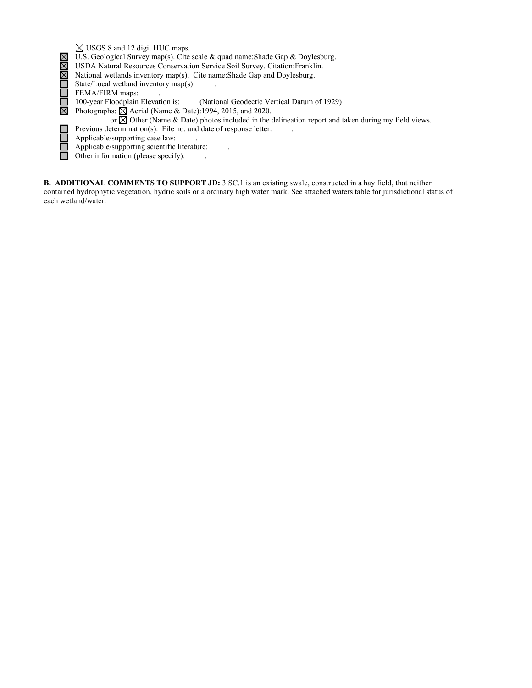USGS 8 and 12 digit HUC maps. XNOOOXX U.S. Geological Survey map(s). Cite scale & quad name:Shade Gap & Doylesburg. USDA Natural Resources Conservation Service Soil Survey. Citation:Franklin. National wetlands inventory map(s). Cite name:Shade Gap and Doylesburg. State/Local wetland inventory map(s): . FEMA/FIRM maps:<br>100-year Floodplain Elevation is: (National Geodectic Vertical Datum of 1929) Photographs:  $\boxtimes$  Aerial (Name & Date):1994, 2015, and 2020. or  $\boxtimes$  Other (Name & Date):photos included in the delineation report and taken during my field views. Previous determination(s). File no. and date of response letter: 8<br>8<br>8<br>8 Applicable/supporting case law: . Applicable/supporting scientific literature: . Other information (please specify): ...

**B. ADDITIONAL COMMENTS TO SUPPORT JD:** 3.SC.1 is an existing swale, constructed in a hay field, that neither contained hydrophytic vegetation, hydric soils or a ordinary high water mark. See attached waters table for jurisdictional status of each wetland/water.